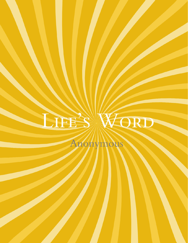# LIFES WORD

Anonymous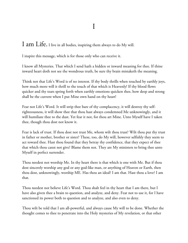## I

I am Life. I live in all bodies, inspiring them always to do My will.

I inspire this message, which is for those only who can receive it.

I know all Mysteries. That which I send hath a hidden or inward meaning for thee. If thine inward heart doth not see the wondrous truth, be sure thy brain mistaketh the meaning.

Think not that Life's Word is of no interest. If thy body thrills when touched by earthly joys, how much more will it thrill to the touch of that which is Heavenly! If thy blood flows quicker and thy tears spring forth when earthly emotions quicken thee, how deep and strong shall be the current when I put Mine own hand on thy heart!

Fear not Life's Word. It will strip thee bare of thy complacency, it will destroy thy selfrighteousness, it will show thee that thou hast always condemned Me unknowingly, and it will humiliate thee to the dust. Yet fear it not, for thou art Mine. Unto Myself have I taken thee, though thou dost not know it.

Fear is lack of trust. If thou dost not trust Me, whom wilt thou trust? Wilt thou put thy trust in father or mother, brother or sister? These, too, do My will, however selfishly they seem to act toward thee. Hast thou found that they betray thy confidence, that they expect of thee that which thou canst not give? Blame them not. They are My ministers to bring thee unto Myself in perfect surrender.

Thou needest not worship Me. In thy heart there is that which is one with Me. But if thou dost sincerely worship any god or any god-like man, or anything of Heaven or Earth, then thou dost, unknowingly, worship ME. Has thou an ideal? I am that. Hast thou a love? I am that.

Thou needest not believe Life's Word. Thou shalt feel in thy heart that I am there, but I have also given thee a brain to question, and analyze, and deny. Fear not to use it, for I have sanctioned its power both to question and to analyze, and also even to deny.

Thou wilt be told that I am all-powerful, and always cause My will to be done. Whether the thought comes to thee to penetrate into the Holy mysteries of My revelation, or that other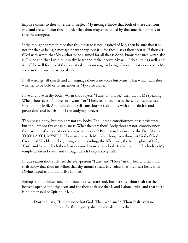impulse comes to thee to refuse or neglect My message, know that both of these are from Me, and are sent unto thee in order that thou mayest be called by that one that appeals to thee the strongest.

If the thought comes to thee that this message is not inspired of Me, then be sure that it is not for thee as being a message of authority, but it is for thee just as thou seest it. If thou art filled with wrath that My authority be claimed for all that is done, know that such wrath also is Divine and that I inspire it in thy heart and make it serve My will. I do all things well, and it shall be well for thee if thou canst take this message as being of no authority - except as My voice in thine own heart speaketh.

In all writings, all speech and all language there is no voice but Mine. That which calls thee, whether to be bold or to surrender, is My voice alone.

I live and love in thy body. When thou sayest, "I am" or "I love," then that is Me speaking. When thou sayest, "I have" or I want," or "I believe," then, that is the self-consciousness speaking for itself. And behold, the self-consciousness shall die, with all its desires and possessions and beliefs, but I am undying, forever.

Thou hast a body, but thou art not thy body. Thou hast a consciousness of self-existence, but thou art not thy consciousness. What then art thou? Body thou art not, consciousness thou art not, -thou canst not know what thou art! But herein I show thee the First Mystery. THOU ART I, MYSELF! Thou art one with Me. Yea, thou, even thou, art God of Gods, Creator of Worlds, the beginning and the ending, the All-power, the triune glory of Life, Truth and Love, which thou hast designed to make thy body Its habitation. Thy body is My temple wherein I dwell and through which I express My will.

In due season thou shalt feel the ever-present "I am" and "I love" in thy heart. Then thou shalt know that thou art Mine; that thy mouth speaks My voice; that thy heart beats with Divine impulse, and that I live in thee.

Perhaps thou thinkest now that thou art a separate soul, but hereafter thou shalt see the heavens opened into thy heart and the thou shalt see that I, and I alone, exist, and that there is no other soul or Spirit but Me.

Dost thou say, "Is there none but God? Then who am I?" Thou shalt say it no more, for this mystery shall be revealed unto thee.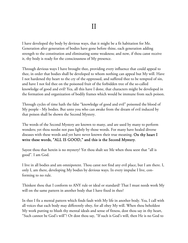I have developed thy body by devious ways, that it might be a fit habitation for Me. Generation after generation of bodies have gone before thine, each generation adding strength to the constitution and eliminating some weakness; and now, if thou canst receive it, thy body is ready for the consciousness of My presence.

Through devious ways I have brought thee, providing every influence that could appeal to thee, in order that bodies shall be developed to whom nothing can appeal but My will. Have I not hardened thy heart to the cry of the oppressed, and suffered thee to be tempted of sin, and have I not fed thee on the poisoned fruit of the forbidden tree of the so-called knowledge of good and evil? Yea, all this have I done, that characters might be developed in the formation and organization of bodily frames which would be immune from such poison.

Through cycles of time hath the false "knowledge of good and evil" poisoned the blood of My people - My bodies. But unto you who can awake from the dream of evil induced by that poison shall be shown the Second Mystery.

The words of the Second Mystery are known to many, and are used by many to perform wonders; yet thou needst not pass lightly by those words. For many have healed diverse diseases with these words and yet have never known their true meaning. On thy heart I write these words, "ALL IS GOOD," and this is the Second Mystery.

Sayest thou that herein is no mystery? Yet thou shalt see Me when thou seest that "all is good". I am God.

I live in all bodies and am omnipotent. Thou canst not find any evil place, but I am there. I, only I, am there, developing My bodies by devious ways. In every impulse I live, conforming to no rule.

Thinkest thou that I conform to ANY rule or ideal or standard? That I must needs work My will on the same pattern in another body that I have fixed in thee?

In thee I fix a mental pattern which finds fault with My life in another body. Yea, I call with all voices that each body may differently obey, for all obey My will. When thou beholdest My work putting to blush thy mental ideals and sense of fitness, dost thou say in thy heart, "Such cannot be God's will"? Or dost thou say, "If such is God's will, then He is no God to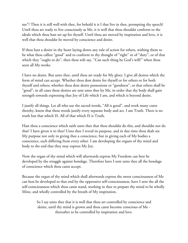me"? Then it is still well with thee, for behold it is I that live in thee, prompting thy speech! Until thou art ready to live consciously as Me, it is well that thou shouldst conform to the ideals which thou hast set up for thyself. Until thou are moved by inspiration and love, it is well that thou shouldst be moved by conscience and desire.

If thou hast a desire in thy heart laying down any rule of action for others, wishing them to be what thou callest "good" and to conform to thy thought of "right" or of "duty", or of that which they "ought to do", then thou wilt say, "Can such thing be God's will?" when thou seest all My works.

I have no desire. But unto thee, until thou art ready for My glory, I give all desires which the form of mind can accept. Whether thou dost desire for thyself or for others or for both thyself and others; whether thou dost desire possessions or "goodness", or that others shall be "good"; in all cases these desires are sent unto thee by Me, in order that thy body shall gain strength towards expressing that Joy of Life which I am, and which is beyond desire.

I justify all things. Let all who use the sacred words, "All is good", and work many cures thereby, know that these words justify every separate body and act. I am Truth. There is no truth but that which IS. All of that which IS is Truth.

Hast thou a conscience which saith unto thee that thou shouldst do this, and shouldst not do that? I have given it to thee! Unto thee I reveal its purpose, and in due time thou shalt see My purpose not only in giving thee a conscience, but in giving each of My bodies a conscience, each differing from every other. I am developing the organs of thy mind and body to the end that they may express My Joy.

Now the organ of thy mind which will afterwards express My Freedom can best be developed by the struggle against bondage. Therefore have I sent unto thee all the bondage of conscience which thou canst accept.

Because the organ of thy mind which shall afterwards express the sweet consciousness of Me can best be developed to that end by the oppressive self-consciousness, have I sent the all the self-consciousness which thou canst stand, working in thee to prepare thy mind to be wholly Mine, and wholly controlled by the breath of My inspiration.

> So I say unto thee that it is well that thou art controlled by conscience and desire, until thy mind is grown and thou canst become conscious of Me thereafter to be controlled by inspiration and love.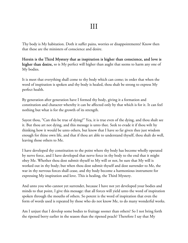Thy body is My habitation. Doth it suffer pains, worries or disappointments? Know then that these are the ministers of conscience and desire.

Herein is the Third Mystery that as inspiration is higher than conscience, and love is higher than desire, so is My perfect will higher than aught that seems to harm any one of My bodies.

It is meet that everything shall come to thy body which can come; in order that when the word of inspiration is spoken and thy body is healed, thou shalt be strong to express My perfect health.

By generation after generation have I formed thy body, giving it a formation and constitution and character whereby it can be affected only by that which is for it. It can feel nothing but what is for the growth of its strength.

Sayest thou, "Can this be true of dying?" Yea, it is true even of the dying, and thou shalt see it. But thou art not dying, and this message is unto thee. Seek to evade it if thou wilt by thinking how it would be unto others, but know that I have so far given thee just wisdom enough for thine own life, and that if thou art able to understand thyself, thou shalt do well, leaving those others to Me.

I have developed thy constitution to the point where thy body has become wholly operated by nerve force, and I have developed that nerve force in thy body to the end that it might obey Me. Whether thou dost submit thyself to My will or not, be sure that My will is worked out in thy body; but when thou dost submit thyself and dost surrender to Me, the war in thy nervous forces shall cease, and thy body become a harmonious instrument for expressing My inspiration and love. This is healing, the Third Mystery.

And unto you who cannot yet surrender, because I have not yet developed your bodies and minds to that point, I give this message: that all forces will yield unto the word of inspiration spoken through the mouths of others. So potent is the word of inspiration that even the form of words used is repeated by those who do not know Me, to do many wonderful works.

Am I unjust that I develop some bodies to fruitage sooner than others? So I not bring forth the ripened berry earlier in the season than the ripened peach? Therefore I say that My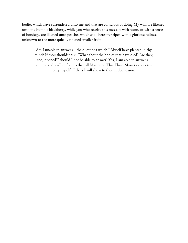bodies which have surrendered unto me and that are conscious of doing My will, are likened unto the humble blackberry, while you who receive this message with scorn, or with a sense of bondage, are likened unto peaches which shall hereafter ripen with a glorious fullness unknown to the more quickly ripened smaller fruit.

Am I unable to answer all the questions which I Myself have planted in thy mind? If thou shouldst ask, "What about the bodies that have died? Are they, too, ripened?" should I not be able to answer? Yea, I am able to answer all things, and shall unfold to thee all Mysteries. This Third Mystery concerns only thyself. Others I will show to thee in due season.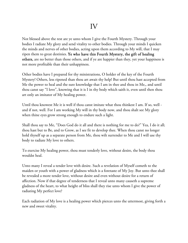Not blessed above the rest are ye unto whom I give the Fourth Mystery. Through your bodies I radiate My glory and send vitality to other bodies. Through your minds I quicken the minds and nerves of other bodies, acting upon them according to My will, that I may ripen them to great destinies. Ye who have this Fourth Mystery, the gift of healing others, are no better than those others, and if ye are happier than they, yet your happiness is not more profitable than their unhappiness.

Other bodies have I prepared for thy ministrations, O holder of the key of the Fourth Mystery! Others, less ripened than thou art await thy help! But until thou hast accepted from Me the power to heal and the sure knowledge that I am in thee and thou in Me,, and until thou canst say "I love", knowing that it is I in thy body which saith it, even until then thou art only an imitator of My healing power.

Until thou knowest Me it is well if thou canst imitate what thou thinkest I am. If so, well and if not, well. For I am working My will in thy body now, and thou shalt see My glory when thine eyes grow strong enough to endure such a light.

Shall thou say to Me, "Does God do it all and there is nothing for me to do?" Yea, I do it all; thou hast but to Be, and to Grow, as I see fit to develop thee. When thou canst no longer hold thyself up as a separate person from Me, thou wilt surrender to Me and I will use thy body to radiate My love to others.

To exercise My healing power, thou must tenderly love, without desire, the body thou wouldst heal.

Unto many I reveal a tender love with desire. Such a revelation of Myself cometh to the maiden or youth with a power of gladness which is a foretaste of My Joy. But unto thee shall be revealed a more tender love, without desire and even without desire for a return of affection. Now if that degree of tenderness that I reveal unto many causeth a supreme gladness of the heart, to what height of bliss shall they rise unto whom I give the power of radiating My perfect love?

Each radiation of My love is a healing power which pierces unto the uttermost, giving forth a new and sweet vitality.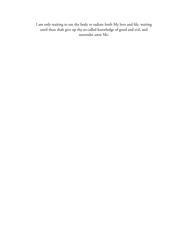I am only waiting to use thy body to radiate forth My love and life, waiting until thou shalt give up thy so-called knowledge of good and evil, and surrender unto Me.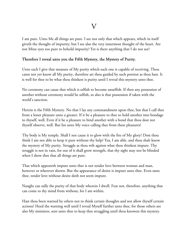I am pure. Unto Me all things are pure. I see not only that which appears, which in itself giveth the thought of impurity; but I see also the very innermost thought of the heart. Are not Mine eyes too pure to behold impurity? Yet is there anything that I do not see?

### Therefore I reveal unto you the Fifth Mystery, the Mystery of Purity.

Unto each I give that measure of My purity which each one is capable of receiving. Thou canst not yet know all My purity, therefore art thou guided by such portion as thou hast. It is well for thee to be what thou thinkest is purity until I reveal this mystery unto thee.

No ceremony can cause that which is selfish to become unselfish. If then any possession of another without ceremony would be selfish, so also is that possession if taken with the world's sanction.

Herein is the Fifth Mystery. No that I lay any commandment upon thee, but that I call thee from a lesser pleasure unto a greater. If it be a pleasure to thee to hold another into bondage to thyself, well. Even if it be a pleasure to bind another with a bond that thou dost not thyself observe, well. But list unto My voice calling thee from these pleasures!

Thy body is My temple. Shall I not cause it to glow with the fire of My glory? Dost thou think I am not able to keep it pure without thy help? Yea, I am able, and thou shalt know the mystery of My purity. Struggle as thou wilt against what thou thinkest impure. Thy struggle is not in vain, for out of it shall grow strength, that thy sight may not be blinded when I show thee that all things are pure.

That which appeareth impure unto thee is not tender love between woman and man, however or wherever shown. But the appearance of desire is impure unto thee. Even unto thee, tender love without desire doth not seem impure.

Naught can sully the purity of that body wherein I dwell. Fear not, therefore, anything that can come to thy mind from without, for I am within.

Hast thou been warned by others not to think certain thoughts and not allow thyself certain actions? Heed the warning well until I reveal Myself further unto thee, for those others are also My ministers, sent unto thee to keep thee struggling until thou knowest this mystery.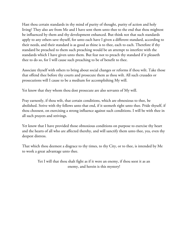Hast thou certain standards in thy mind of purity of thought, purity of action and holy living? They also are from Me and I have sent them unto thee to the end that thou mightest be influenced by them and thy development enhanced. But think not that such standards apply to any others save thyself, for unto each have I given a different standard, according to their needs, and their standard is as good as thine is to thee, each to each. Therefore if thy standard be preached to them such preaching would be an attempt to interfere with the standards which I have given unto them. But fear not to preach thy standard if it pleaseth thee to do so, for I will cause such preaching to be of benefit to thee.

Associate thyself with others to bring about social changes or reforms if thou wilt. Take those that offend thee before thy courts and prosecute them as thou wilt. All such crusades or prosecutions will I cause to be a medium for accomplishing My will.

Yet know that they whom thou dost prosecute are also servants of My will.

Pray earnestly, if thou wilt, that certain conditions, which are obnoxious to thee, be abolished. Strive with thy fellows unto that end, if it seemeth right unto thee. Pride thyself, if thou choosest, on exercising a strong influence against such conditions. I will be with thee in all such prayers and strivings.

Yet know that I have provided those obnoxious conditions on purpose to exercise thy heart and the hearts of all who are affected thereby, and will sanctify them unto thee, yea, even thy deepest distress.

That which thou deemest a disgrace to thy times, to thy City, or to thee, is intended by Me to work a great advantage unto thee.

> Yet I will that thou shalt fight as if it were an enemy, if thou seest it as an enemy, and herein is this mystery!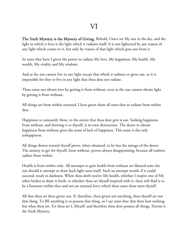The Sixth Mystery is the Mystery of Giving. Behold, I have set My sun in the sky, and the light in which it lives is the light which it radiates itself. It is not lightened by any reason of any light which comes to it, but only by reason of that light which goes out from it.

So unto thee have I given the power to radiate My love, My happiness, My health, My wealth, My vitality and My wisdom.

And as the sun cannot live in any light except that which it radiates or gives out, so it is impossible for thee to live in any light that thou dost not radiate.

Thou canst not obtain love by getting it from without, even as the sun cannot obtain light by getting it from without.

All things are from within outward. I have given them all unto thee to radiate from within thee.

Happiness is constantly thine, to the extent that thou dost give it out. Seeking happiness from without, and drawing it to thyself, is its own destruction. The desire to obtain happiness from without gives the sense of lack of happiness. This sense is the only unhappiness.

All things drawn toward thyself prove, when obtained, to be but the mirage of the desert. The anxiety to get for thyself, from without, proves always disappointing, because all realities radiate from within.

Health is from within only. All attempts to gain health from without are likened unto the sun should it attempt to draw back light unto itself. Such an attempt would, if it could succeed, result in darkness. When thou doth receive My health, whether I inspire one of My other bodies to draw it forth, or whether thou art thyself inspired with it, thou wilt find it to be a fountain within thee and not an external force which thou canst draw unto thyself.

All that thou art thou givest out. If, therefore, thou givest not anything, thou thyself art not that thing. To BE anything is to possess that thing, so I say unto thee that thou hast nothing but what thou art. Yet thou art I, Myself, and therefore thou dost possess all things. Herein is the Sixth Mystery.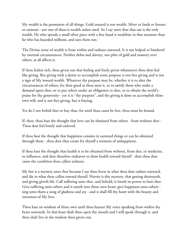My wealth is the possession of all things. Gold unused is not wealth. Silver or lands or houses or raiment - not one of these is wealth unless used. So I say unto thee that use is the only wealth. He who spends a small silver piece with a free hand is wealthier in that moment than he who has hoarded millions, and uses them not.

The Divine sense of wealth is from within and radiates outward. It is not helped or hindered by external circumstances. Neither debts and slavery, nor piles of gold and mastery over others, at all affects it.

If thou feelest rich, thou givest out that feeling and freely givest whatsoever thou dost feel like giving. But giving with a desire to accomplish some purpose is not free giving and is not a sign of My inward wealth. Whatever thy purpose may be, whether it is to alter the circumstances of others, for their good as thou seest it, or to satisfy those who make a demand upon thee, or to put others under an obligation to thee, or to obtain the world's praise for thy generosity - yet it is "thy purpose", and the giving is done to accomplish thine own will, and is not free giving, but is buying.

Yet do I not forbid thee to buy thus, for until thou canst be free, thou must be bound.

If, then, thou hast the thought that love can be obtained from others - from without thee - Thou dost feel lonely and unloved.

If thou hast the thought that happiness consists in outward things or can be obtained through them - thou dost thus create for thyself a torment of unhappiness.

If thou hast the thought that health is to be obtained from without, from diet, or medicine, or influence, and dost therefore endeavor to draw health toward thyself - then thou dost cause the condition thou callest sickness.

My law is a mystery unto thee because I say thou livest in what thou dost radiate outward, and die in what thou callest toward thyself. Herein is this mystery, that getting destroyeth, and giving giveth life. Call suffering unto thee, and behold, it loseth its power to hurt thee. Give suffering unto others and it eateth into thine own heart; give happiness unto others sing unto them a song of gladness and joy - and it shall fill thy heart with the beauty and sweetness of My love.

Thou hast no wisdom of thine own until thou hearest My voice speaking from within thy heart outwards. In that hour shalt thou open thy mouth and I will speak through it, and thou shalt live in the wisdom thou givest out.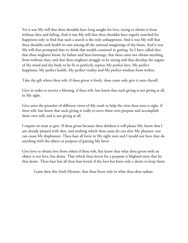Yet it was My will that thou shouldst have long sought for love, trying to obtain it from without thee and failing. And it was My will that thou shouldst have eagerly searched for happiness only to find that such a search is the only unhappiness. And it was My will that thou shouldst seek health in vain among all the external imaginings of thy brain. And it was My will that prompted thee to think that wealth consisted in getting. So I have called thee that thou mightest know, by failure and heat-burnings, that thou canst not obtain anything from without thee; and that thou mightest struggle to be strong and thus develop the organs of thy mind and thy body to be fit to perfectly express My perfect love, My perfect happiness, My perfect health, My perfect vitality and My perfect wisdom from within.

Take thy gift where thou wilt, if thou givest it freely, thou canst only give it unto thyself.

Give in order to receive a blessing, if thou wilt, but know that such giving is not giving at all, in My sight.

Give unto the preacher of different views of My truth to help the view thou seest is right, if thou wilt, but know that such giving is really to serve thine own purpose and accomplish thine own will, and is not giving at all.

I require no man to give. If thou givest because thou thinkest it will please Me, know that I am already pleased with thee, and nothing which thou canst do can alter My pleasure, nor can cause My displeasure. Thou hast all favor in My sight now and I would not have thee do anything with the object or purpose of gaining My favor.

Give love to obtain love from others if thou wilt, but know that what thou givest with an object is not love, but desire. That which thou lovest for a purpose is blighted unto thee by that desire. Thou hast lost all thou hast loved, if thy love has been only a desire to keep them.

Learn then this Sixth Mystery, that thou livest only in what thou dost radiate.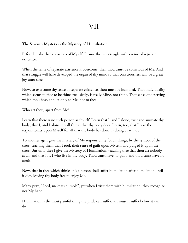#### The Seventh Mystery is the Mystery of Humiliation.

Before I make thee conscious of Myself, I cause thee to struggle with a sense of separate existence.

When the sense of separate existence is overcome, then thou canst be conscious of Me. And that struggle will have developed the organ of thy mind so that consciousness will be a great joy unto thee.

Now, to overcome thy sense of separate existence, thou must be humbled. That individuality which seems to thee to be thine exclusively, is really Mine, not thine. That sense of deserving which thou hast, applies only to Me, not to thee.

Who art thou, apart from Me?

Learn that there is no such person as thyself. Learn that I, and I alone, exist and animate thy body; that I, and I alone, do all things that thy body does. Learn, too, that I take the responsibility upon Myself for all that the body has done, is doing or will do.

To another age I gave the mystery of My responsibility for all things, by the symbol of the cross; teaching them that I took their sense of guilt upon Myself, and purged it upon the cross. But unto thee I give the Mystery of Humiliation, teaching thee that thou art nobody at all, and that it is I who live in thy body. Thou canst have no guilt, and thou canst have no merit.

Now, that in thee which thinks it is a person shall suffer humiliation after humiliation until it dies, leaving thy body free to enjoy Me.

Many pray, "Lord, make us humble", yet when I visit them with humiliation, they recognize not My hand.

Humiliation is the most painful thing thy pride can suffer; yet must it suffer before it can die.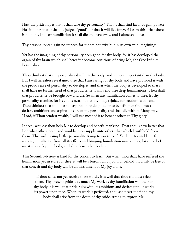Hast thy pride hopes that it shall save thy personality? That it shall find favor or gain power? Has it hopes that it shall be judged "good", or that it will live forever? Learn this - that there is no hope. In deep humiliation it shall die and pass away, and I alone shall live.

Thy personality can gain no respect, for it does not exist but in its own vain imaginings.

Yet has the imagining of thy personality been good for thy body, for it has developed the organ of thy brain which shall hereafter become conscious of being Me, the One Infinite Personality.

Thou thinkest that thy personality dwells in thy body, and is more important than thy body. But I will hereafter reveal unto thee that I am caring for thy body and have provided it with the proud sense of personality to develop it, and that when the body is developed so that it shall have no further need of that proud sense, I will send thee deep humiliations. Then shall that proud sense be brought low and die. Se when any humiliation comes to thee, let thy personality tremble, for its end is near; but let thy body rejoice, for freedom is at hand. Thou thinkest that thou hast an aspiration to do good, or to benefit mankind. But all desires, ambitions and aspirations are of the personality and shall die with it. Many pray, "Lord, if Thou sendest wealth, I will use most of it to benefit others to Thy glory".

Indeed, wouldst thou help Me to develop and benefit mankind? Dost thou know better that I do what others need; and wouldst thou supply unto others that which I withhold from them? This wish is simply thy personality trying to assert itself. Yet let it try and let it fail, reaping humiliation from all its efforts and bringing humiliation unto others, for thus do I use it to develop thy body, and also those other bodies.

This Seventh Mystery is hard for thy conceit to learn. But when thou shalt have suffered the humiliation yet in store for thee, it will be a lesson full of joy. For behold thou wilt be free of that conceit and thy body will be an instrument of My joy alone.

If thou canst not yet receive these words, it is well that thou shouldst reject them. Thy present pride is as much My work as thy humiliation will be. For thy body it is well that pride rules with its ambitions and desires until it works its power upon thee. When its work is perfected, thou shalt cast it off and thy body shall arise from the death of thy pride, strong to express Me.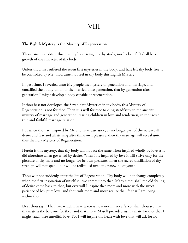## VIII

## The Eighth Mystery is the Mystery of Regeneration.

Thou canst not obtain this mystery by striving, nor by study, nor by belief. It shall be a growth of the character of thy body.

Unless thou hast suffered the seven first mysteries in thy body, and hast left thy body free to be controlled by Me, thou canst not feel in thy body this Eighth Mystery.

In past times I revealed unto My people the mystery of generation and marriage, and sanctified the bodily union of the married unto generation, that by generation after generation I might develop a body capable of regeneration.

If thou hast not developed the Seven first Mysteries in thy body, this Mystery of Regeneration is not for thee. Then it is well for thee to cling steadfastly to the ancient mystery of marriage and generation, rearing children in love and tenderness, in the sacred, true and faithful marriage relation.

But when thou art inspired by Me and have cast aside, as no longer part of thy nature, all desire and fear and all striving after thine own pleasure, then thy marriage will reveal unto thee the holy Mystery of Regeneration.

Herein is this mystery, that thy body will not act the same when inspired wholly by love as it did aforetime when governed by desire. When it is inspired by love it will strive only for the pleasure of thy mate and no longer for its own pleasure. Then the sacred distillation of thy strength will not spend, but will be redistilled unto the renewing of youth.

Thou wilt not suddenly enter the life of Regeneration. Thy body will not change completely when the first inspiration of unselfish love comes unto thee. Many times shall the old feeling of desire come back to thee, but ever will I inspire thee more and more with the sweet patience of My pure love, and thou wilt more and more realize the life that I am living within thee.

Dost thou say, "The mate which I have taken is now not my ideal"? Yet shalt thou see that thy mate is the best one for thee, and that I have Myself provided such a mate for thee that I might teach thee unselfish love. For I will inspire thy heart with love that will ask for no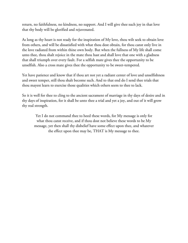return, no faithfulness, no kindness, no support. And I will give thee such joy in that love that thy body will be glorified and rejuvenated.

As long as thy heart is not ready for the inspiration of My love, thou wilt seek to obtain love from others, and will be dissatisfied with what thou dost obtain, for thou canst only live in the love radiated from within thine own body. But when the fullness of My life shall come unto thee, thou shalt rejoice in the mate thou hast and shall love that one with a gladness that shall triumph over every fault. For a selfish mate gives thee the opportunity to be unselfish. Also a cross mate gives thee the opportunity to be sweet-tempered.

Yet have patience and know that if thou art not yet a radiant center of love and unselfishness and sweet temper, still thou shalt become such. And to that end do I send thee trials that thou mayest learn to exercise those qualities which others seem to thee to lack.

So it is well for thee to cling to the ancient sacrament of marriage in thy days of desire and in thy days of inspiration, for it shall be unto thee a trial and yet a joy, and out of it will grow thy real strength.

Yet I do not command thee to heed these words, for My message is only for what thou canst receive, and if thou dost not believe these words to be My message, yet then shall thy disbelief have some effect upon thee, and whatever the effect upon thee may be, THAT is My message to thee.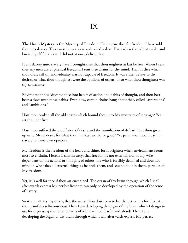The Ninth Mystery is the Mystery of Freedom. To prepare thee for freedom I have sold thee into slavery. Thou wert born a slave and raised a slave. Even when thou didst awake and knew thyself for a slave, I did not at once deliver thee.

From slavery unto slavery have I brought thee that thou mightest at last be free. When I sent thee any measure of physical freedom, I sent thee chains for thy mind. That in thee which thou didst call thy individuality was not capable of freedom. It was either a slave to thy desires, or what thou thoughtest were the opinions of others, or to what thou thoughtest was thy conscience.

Environment has educated thee into habits of action and habits of thought, and thou hast been a slave unto those habits. Even now, certain chains hang about thee, called "aspirations" and "ambitions."

Hast thou broken all the old chains which bound thee unto My mysteries of long ago? Yet art thou not free!

Hast thou suffered the crucifixion of desire and the humiliation of defeat? Hast thou given up unto Me all desire for what thou thinkest would be good? Yet perchance thou art still in slavery to thine own opinions.

My freedom is the freedom of the heart and shines forth brightest when environment seems most to enchain. Herein is this mystery, that freedom is not external, nor in any wise dependent on the actions or thoughts of others. He who is forcibly detained and does not mind it, who takes all external things as he finds them, and sees no fault in them, partakes of My freedom.

Yet, it is well for thee if thou art enchained. The organ of thy brain through which I shall after-wards express My perfect freedom can only be developed by the operation of the sense of slavery.

So it is in all My mysteries, that the worse thou dost seem to be, the better it is for thee. Art thou painfully self-conscious? Then I am developing the organ of thy brain which I design to use for expressing the consciousness of Me. Art thou fearful and afraid? Then I am developing the organ of thy brain through which I will afterwards express My perfect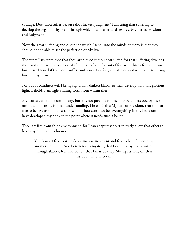courage. Dost thou suffer because thou lackest judgment? I am using that suffering to develop the organ of thy brain through which I will afterwards express My perfect wisdom and judgment.

Now the great suffering and discipline which I send unto the minds of many is that they should not be able to see the perfection of My law.

Therefore I say unto thee that thou art blessed if thou dost suffer, for that suffering develops thee; and thou art doubly blessed if thou art afraid, for out of fear will I bring forth courage; but thrice blessed if thou dost suffer, and also art in fear, and also cannot see that it is I being born in thy heart.

For out of blindness will I bring sight. Thy darkest blindness shall develop thy most glorious light. Behold, I am light shining forth from within thee.

My words come alike unto many, but it is not possible for them to be understood by thee until thou art ready for that understanding. Herein is this Mystery of Freedom, that thou art free to believe as thou dost choose, but thou canst not believe anything in thy heart until I have developed thy body to the point where it needs such a belief.

Thou art free from thine environment, for I can adapt thy heart to freely allow that other to have any opinion he chooses.

Yet thou art free to struggle against environment and free to be influenced by another's opinion. And herein is this mystery, that I call thee by many voices, through slavery, fear and doubt, that I may develop My expression, which is thy body, into freedom.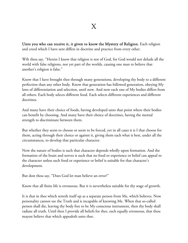Unto you who can receive it, it given to know the Mystery of Religion. Each religion and creed which I have sent differs in doctrine and practice from every other.

Wilt thou say, "Herein I know that religion is not of God, for God would not delude all the world with false religions, nor yet part of the worlds, causing one man to believe that another's religion is false."

Know that I have brought thee through many generations, developing thy body to a different perfection than any other body. Know that generation has followed generation, obeying My laws of differentiation and selection, until now. And now each one of My bodies differs from all others. Each body selects different food. Each selects different experiences and different doctrines.

And many have their choice of foods, having developed unto that point where their bodies can benefit by choosing. And many have their choice of doctrines, having the mental strength to discriminate between them.

But whether they seem to choose or seem to be forced, yet in all cases it is I that choose for them, acting through their choice or against it, giving them each what is best, under all the circumstances, to develop that particular character.

Now the nature of bodies is such that character depends wholly upon formation. And the formation of the brain and nerves is such that no food or experience or belief can appeal to the character unless such food or experience or belief is suitable for that character's development.

But dost thou say, "Does God let man believe an error?"

Know that all finite life is erroneous. But it is nevertheless suitable for thy stage of growth.

It is that in thee which setteth itself up as a separate person from Me, which believes. Now personality cannot see the Truth and is incapable of knowing Me. When that so-called person shall die, leaving thy body free to be My conscious instrument, then thy body shall radiate all truth. Until then I provide all beliefs for thee, each equally erroneous, that thou mayest believe that which appealeth unto thee.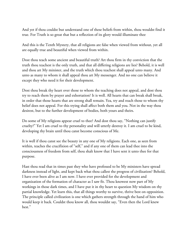And yet if thou couldst but understand one of these beliefs from within, thou wouldst find it true. For Truth is so great that but a reflection of its glory would illuminate thee

And this is the Tenth Mystery, that all religions are false when viewed from without, yet all are equally true and beautiful when viewed from within.

Dost thou teach some ancient and beautiful truth? Art thou firm in thy conviction that the truth thou teachest is the only truth, and that all differing religions are lies? Behold, it is well and thou art My minister, and the truth which thou teachest shall appeal unto many. And unto as many to whom it shall appeal thou art My messenger. And no one can believe it except they who need it for their development.

Dost thou break thy heart over those to whom the teaching does not appeal, and dost thou try to reach them by prayer and exhortation? It is well. All hearts that can break shall break, in order that those hearts that are strong shall remain. Yea, try and reach those to whom thy belief does not appeal. For this trying shall affect both them and you. Not in the way thou desirest, but to the further development of bodies, both yours and theirs.

Do some of My religions appear cruel to thee? And dost thou say, "Nothing can justify cruelty?" Yet I am cruel to thy personality and will utterly destroy it. I am cruel to be kind, developing thy brain until thou canst become conscious of Me.

It is well if thou canst see the beauty in any one of My religions. Each one, as seen from within, teaches the crucifixion of "self," and if any one of them can lead thee into the consciousness of freedom from self, thou shalt know that I have sent it unto thee for that purpose.

Hast thou read that in times past they who have professed to be My ministers have spread darkness instead of light, and kept back what thou callest the progress of civilization? Behold, I have ever been alive as I am now. I have ever provided for the development and organization of the formation of character as I saw fit. Thou knowest now part of My workings in those dark times, and I have put it in thy heart to question My wisdom on thy partial knowledge. Yet learn this, that all things worthy to survive, thrive best on opposition. The principle called civilization is one which gathers strength through the hand of him who would keep it back. Couldst thou know all, thou wouldst say, "Even then the Lord knew best."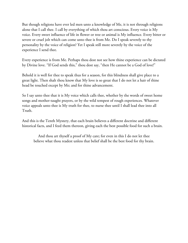But though religions have ever led men unto a knowledge of Me, it is not through religions alone that I call thee. I call by everything of which thou art conscious. Every voice is My voice. Every sweet influence of life in flower or tree or animal is My influence. Every bitter or severe or cruel jolt which can come unto thee is from Me. Do I speak severely to thy personality by the voice of religion? Yet I speak still more severely by the voice of the experience I send thee.

Every experience is from Me. Perhaps thou dost not see how thine experience can be dictated by Divine love. "If God sends this," thou dost say, "then He cannot be a God of love!"

Behold it is well for thee to speak thus for a season, for this blindness shall give place to a great light. Then shalt thou know that My love is so great that I do not let a hair of thine head be touched except by Me; and for thine advancement.

So I say unto thee that it is My voice which calls thee, whether by the words of sweet home songs and mother-taught prayers, or by the wild tempest of rough experiences. Whatever voice appeals unto thee is My truth for thee, to nurse thee until I shall lead thee into all Truth.

And this is the Tenth Mystery, that each brain believes a different doctrine and different historical facts, and I feed them thereon, giving each the best possible food for such a brain.

And thou art thyself a proof of My care; for even in this I do not let thee believe what thou readest unless that belief shall be the best food for thy brain.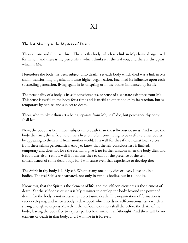#### The last Mystery is the Mystery of Death.

Thou art one and thou art three. There is thy body, which is a link in My chain of organized formation, and there is thy personality, which thinks it is the real you, and there is thy Spirit, which is Me.

Heretofore the body has been subject unto death. Yet each body which died was a link in My chain, transforming organization unto higher organization. Each had its influence upon each succeeding generation, living again in its offspring or in the bodies influenced by its life.

The personality of a body is its self-consciousness, or sense of a separate existence from Me. This sense is useful to the body for a time and is useful to other bodies by its reaction, but is temporary by nature, and subject to death.

Thou, who thinkest thou art a being separate from Me, shall die, but perchance thy body shall live.

Now, the body has been more subject unto death than the self-consciousness. And where the body dies first, the self-consciousness lives on, often continuing to be useful to other bodies by appealing to them as if from another world. It is well for thee if thou canst hear voices from these selfish personalities. And yet know that the self-consciousness is limited, temporary and does not love the eternal. I give it no further wisdom when the body dies, and it soon dies also. Yet it is well if it amuses thee to call for the presence of the selfconsciousness of some dead body, for I will cause even that experience to develop thee.

The Spirit in thy body is I, Myself. Whether any one body dies or lives, I live on, in all bodies. The real Self is reincarnated, not only in various bodies, but in all bodies.

Know this, that the Spirit is the element of life, and the self-consciousness is the element of death. Yet the self-consciousness is My minister to develop the body beyond the power of death, for the body is not necessarily subject unto death. The organization of formation is ever developing, and when a body is developed which needs no self-consciousness - which is strong enough to express Me - then the self-consciousness shall die before the death of the body, leaving the body free to express perfect love without self-thought. And there will be no element of death in that body, and I will live in it forever.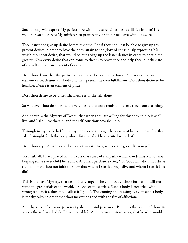Such a body will express My perfect love without desire. Does desire still live in thee? If so, well. For each desire is My minister, to prepare thy brain for real love without desire.

Thou canst not give up desire before thy time. For if thou shouldst be able to give up thy present desires in order to have the body attain to the glory of consciously expressing Me, which thou dost desire, that would be but giving up the lesser desires in order to obtain the greater. Now every desire that can come to thee is to prove thee and help thee, but they are of the self and are an element of death.

Dost thou desire that thy particular body shall be one to live forever? That desire is an element of death unto thy body and may prevent its own fulfillment. Dost thou desire to be humble? Desire is an element of pride!

Dost thou desire to be unselfish? Desire is of the self alone!

So whatever thou dost desire, the very desire therefore tends to prevent thee from attaining.

And herein is the Mystery of Death, that when thou art willing for thy body to die, it shall live, and I shall live therein, and the self-consciousness shall die.

Through many trials do I bring thy body, even through the sorrow of bereavement. For thy sake I brought forth the body which for thy sake I have visited with death.

Dost thou say, "A happy child at prayer was stricken; why do the good die young?"

Yet I rule all. I have placed in thy heart that sense of sympathy which condemns Me for not keeping some sweet child little alive. Another, perchance cries, "O, God, why did I not die as a child?" Hast thou not faith to know that whom I see fit I keep alive and whom I see fit I let die?

This is the Last Mystery, that death is My angel. The child-body whose formation will not stand the great trials of the world, I relieve of those trials. Such a body is not tried with strong tendencies, thus thou callest it "good". The coming and passing away of such a body is for thy sake, in order that thou mayest be tried with the fire of affliction.

And thy sense of separate personality shall die and pass away. But unto the bodies of those in whom the self has died do I give eternal life. And herein is this mystery, that he who would